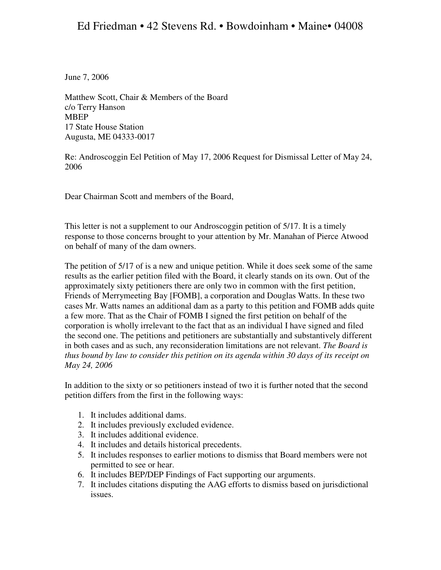June 7, 2006

Matthew Scott, Chair & Members of the Board c/o Terry Hanson MBEP 17 State House Station Augusta, ME 04333-0017

Re: Androscoggin Eel Petition of May 17, 2006 Request for Dismissal Letter of May 24, 2006

Dear Chairman Scott and members of the Board,

This letter is not a supplement to our Androscoggin petition of 5/17. It is a timely response to those concerns brought to your attention by Mr. Manahan of Pierce Atwood on behalf of many of the dam owners.

The petition of 5/17 of is a new and unique petition. While it does seek some of the same results as the earlier petition filed with the Board, it clearly stands on its own. Out of the approximately sixty petitioners there are only two in common with the first petition, Friends of Merrymeeting Bay [FOMB], a corporation and Douglas Watts. In these two cases Mr. Watts names an additional dam as a party to this petition and FOMB adds quite a few more. That as the Chair of FOMB I signed the first petition on behalf of the corporation is wholly irrelevant to the fact that as an individual I have signed and filed the second one. The petitions and petitioners are substantially and substantively different in both cases and as such, any reconsideration limitations are not relevant. *The Board is thus bound by law to consider this petition on its agenda within 30 days of its receipt on May 24, 2006* 

In addition to the sixty or so petitioners instead of two it is further noted that the second petition differs from the first in the following ways:

- 1. It includes additional dams.
- 2. It includes previously excluded evidence.
- 3. It includes additional evidence.
- 4. It includes and details historical precedents.
- 5. It includes responses to earlier motions to dismiss that Board members were not permitted to see or hear.
- 6. It includes BEP/DEP Findings of Fact supporting our arguments.
- 7. It includes citations disputing the AAG efforts to dismiss based on jurisdictional issues.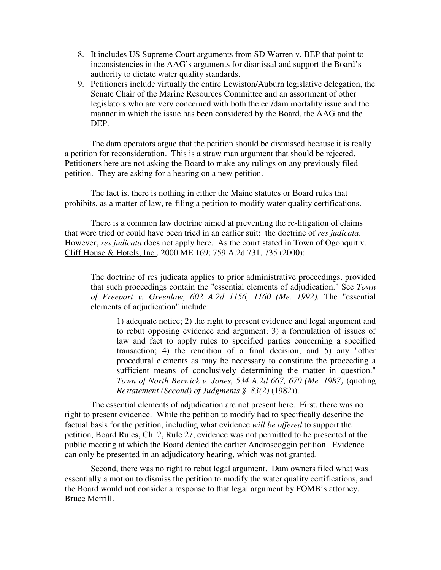- 8. It includes US Supreme Court arguments from SD Warren v. BEP that point to inconsistencies in the AAG's arguments for dismissal and support the Board's authority to dictate water quality standards.
- 9. Petitioners include virtually the entire Lewiston/Auburn legislative delegation, the Senate Chair of the Marine Resources Committee and an assortment of other legislators who are very concerned with both the eel/dam mortality issue and the manner in which the issue has been considered by the Board, the AAG and the DEP.

 The dam operators argue that the petition should be dismissed because it is really a petition for reconsideration. This is a straw man argument that should be rejected. Petitioners here are not asking the Board to make any rulings on any previously filed petition. They are asking for a hearing on a new petition.

 The fact is, there is nothing in either the Maine statutes or Board rules that prohibits, as a matter of law, re-filing a petition to modify water quality certifications.

There is a common law doctrine aimed at preventing the re-litigation of claims that were tried or could have been tried in an earlier suit: the doctrine of *res judicata*. However, *res judicata* does not apply here. As the court stated in Town of Ogonquit v. Cliff House & Hotels, Inc., 2000 ME 169; 759 A.2d 731, 735 (2000):

The doctrine of res judicata applies to prior administrative proceedings, provided that such proceedings contain the "essential elements of adjudication." See *Town of Freeport v. Greenlaw, 602 A.2d 1156, 1160 (Me. 1992).* The "essential elements of adjudication" include:

1) adequate notice; 2) the right to present evidence and legal argument and to rebut opposing evidence and argument; 3) a formulation of issues of law and fact to apply rules to specified parties concerning a specified transaction; 4) the rendition of a final decision; and 5) any "other procedural elements as may be necessary to constitute the proceeding a sufficient means of conclusively determining the matter in question." *Town of North Berwick v. Jones, 534 A.2d 667, 670 (Me. 1987)* (quoting *Restatement (Second) of Judgments § 83(2)* (1982)).

The essential elements of adjudication are not present here. First, there was no right to present evidence. While the petition to modify had to specifically describe the factual basis for the petition, including what evidence *will be offered* to support the petition, Board Rules, Ch. 2, Rule 27, evidence was not permitted to be presented at the public meeting at which the Board denied the earlier Androscoggin petition. Evidence can only be presented in an adjudicatory hearing, which was not granted.

Second, there was no right to rebut legal argument. Dam owners filed what was essentially a motion to dismiss the petition to modify the water quality certifications, and the Board would not consider a response to that legal argument by FOMB's attorney, Bruce Merrill.